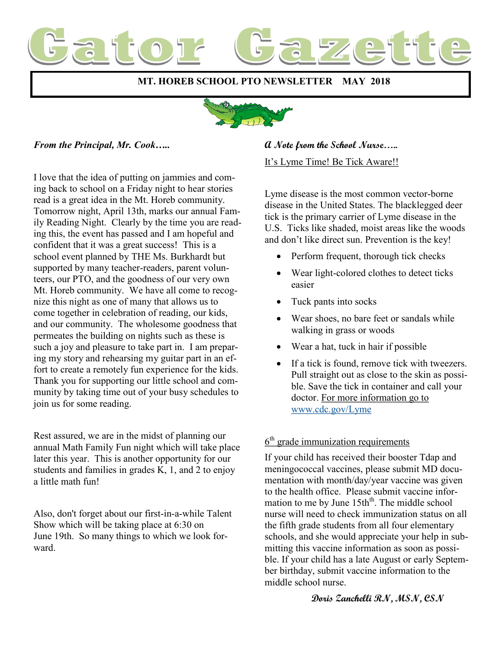

 **MT. HOREB SCHOOL PTO NEWSLETTER MAY 2018**



#### *From the Principal, Mr. Cook…..*

I love that the idea of putting on jammies and coming back to school on a Friday night to hear stories read is a great idea in the Mt. Horeb community. Tomorrow night, April 13th, marks our annual Family Reading Night. Clearly by the time you are reading this, the event has passed and I am hopeful and confident that it was a great success! This is a school event planned by THE Ms. Burkhardt but supported by many teacher-readers, parent volunteers, our PTO, and the goodness of our very own Mt. Horeb community. We have all come to recognize this night as one of many that allows us to come together in celebration of reading, our kids, and our community. The wholesome goodness that permeates the building on nights such as these is such a joy and pleasure to take part in. I am preparing my story and rehearsing my guitar part in an effort to create a remotely fun experience for the kids. Thank you for supporting our little school and community by taking time out of your busy schedules to join us for some reading.

Rest assured, we are in the midst of planning our annual Math Family Fun night which will take place later this year. This is another opportunity for our students and families in grades K, 1, and 2 to enjoy a little math fun!

Also, don't forget about our first-in-a-while Talent Show which will be taking place at 6:30 on June 19th. So many things to which we look forward.

#### **A Note from the School Nurse…..**

It's Lyme Time! Be Tick Aware!!

Lyme disease is the most common vector-borne disease in the United States. The blacklegged deer tick is the primary carrier of Lyme disease in the U.S. Ticks like shaded, moist areas like the woods and don't like direct sun. Prevention is the key!

- Perform frequent, thorough tick checks
- Wear light-colored clothes to detect ticks easier
- Tuck pants into socks
- Wear shoes, no bare feet or sandals while walking in grass or woods
- Wear a hat, tuck in hair if possible
- If a tick is found, remove tick with tweezers. Pull straight out as close to the skin as possible. Save the tick in container and call your doctor. For more information go to [www.cdc.gov/Lyme](http://www.cdc.gov/Lyme)

#### $6<sup>th</sup>$  grade immunization requirements

If your child has received their booster Tdap and meningococcal vaccines, please submit MD documentation with month/day/year vaccine was given to the health office. Please submit vaccine information to me by June 15th<sup>th</sup>. The middle school nurse will need to check immunization status on all the fifth grade students from all four elementary schools, and she would appreciate your help in submitting this vaccine information as soon as possible. If your child has a late August or early September birthday, submit vaccine information to the middle school nurse.

#### **Doris Zanchelli RN, MSN, CSN**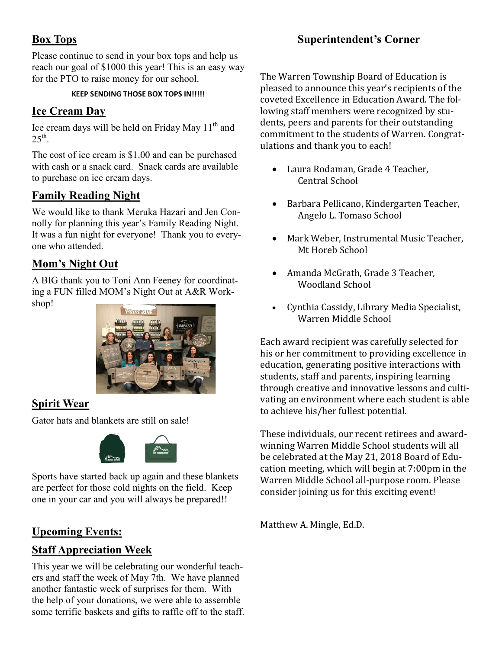# **Box Tops**

Please continue to send in your box tops and help us reach our goal of \$1000 this year! This is an easy way for the PTO to raise money for our school.

#### **KEEP SENDING THOSE BOX TOPS IN!!!!!**

#### **Ice Cream Day**

Ice cream days will be held on Friday May  $11<sup>th</sup>$  and  $25^{\text{th}}$ .

The cost of ice cream is \$1.00 and can be purchased with cash or a snack card. Snack cards are available to purchase on ice cream days.

### **Family Reading Night**

We would like to thank Meruka Hazari and Jen Connolly for planning this year's Family Reading Night. It was a fun night for everyone! Thank you to everyone who attended.

## **Mom's Night Out**

A BIG thank you to Toni Ann Feeney for coordinating a FUN filled MOM's Night Out at A&R Workshop!



### **Spirit Wear**

Gator hats and blankets are still on sale!



Sports have started back up again and these blankets are perfect for those cold nights on the field. Keep one in your car and you will always be prepared!!

### **Upcoming Events:**

### **Staff Appreciation Week**

This year we will be celebrating our wonderful teachers and staff the week of May 7th. We have planned another fantastic week of surprises for them. With the help of your donations, we were able to assemble some terrific baskets and gifts to raffle off to the staff.

## **Superintendent's Corner**

The Warren Township Board of Education is pleased to announce this year's recipients of the coveted Excellence in Education Award. The following staff members were recognized by students, peers and parents for their outstanding commitment to the students of Warren. Congratulations and thank you to each!

- Laura Rodaman, Grade 4 Teacher, Central School
- Barbara Pellicano, Kindergarten Teacher, Angelo L. Tomaso School
- Mark Weber, Instrumental Music Teacher, Mt Horeb School
- Amanda McGrath, Grade 3 Teacher, Woodland School
- Cynthia Cassidy, Library Media Specialist, Warren Middle School

Each award recipient was carefully selected for his or her commitment to providing excellence in education, generating positive interactions with students, staff and parents, inspiring learning through creative and innovative lessons and cultivating an environment where each student is able to achieve his/her fullest potential.

These individuals, our recent retirees and awardwinning Warren Middle School students will all be celebrated at the May 21, 2018 Board of Education meeting, which will begin at 7:00pm in the Warren Middle School all-purpose room. Please consider joining us for this exciting event!

Matthew A. Mingle, Ed.D.